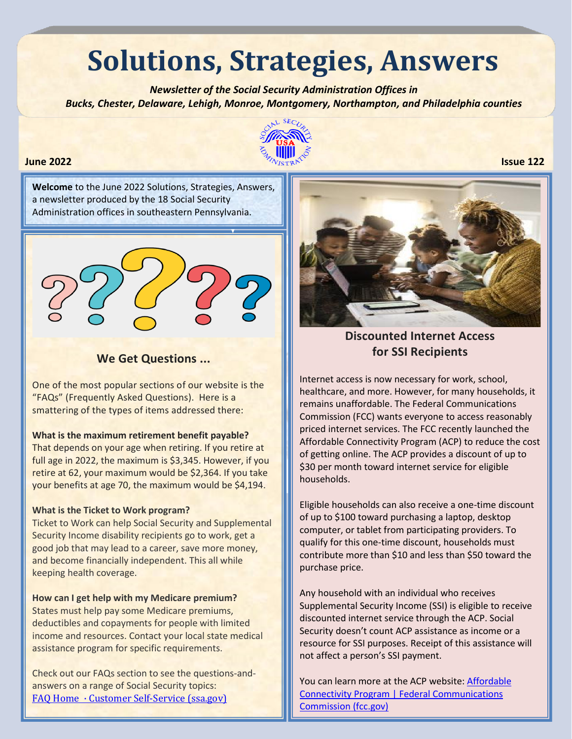# **Solutions, Strategies, Answers**

 *Newsletter of the Social Security Administration Offices in Bucks, Chester, Delaware, Lehigh, Monroe, Montgomery, Northampton, and Philadelphia counties* 



**Welcome** to the June 2022 Solutions, Strategies, Answers, a newsletter produced by the 18 Social Security Administration offices in southeastern Pennsylvania.



## **We Get Questions ...**

One of the most popular sections of our website is the "FAQs" (Frequently Asked Questions). Here is a smattering of the types of items addressed there:

#### **What is the maximum retirement benefit payable?**

That depends on your age when retiring. If you retire at full age in 2022, the maximum is \$3,345. However, if you retire at 62, your maximum would be \$2,364. If you take your benefits at age 70, the maximum would be \$4,194.

#### **What is the Ticket to Work program?**

Ticket to Work can help Social Security and Supplemental Security Income disability recipients go to work, get a good job that may lead to a career, save more money, and become financially independent. This all while keeping health coverage.

#### **How can I get help with my Medicare premium?**

States must help pay some Medicare premiums, deductibles and copayments for people with limited income and resources. Contact your local state medical assistance program for specific requirements.

Check out our FAQs section to see the questions-andanswers on a range of Social Security topics: [FAQ Home · Customer Self-Service \(ssa.gov\)](https://faq.ssa.gov/en-US/)



# **Discounted Internet Access for SSI Recipients**

Internet access is now necessary for work, school, healthcare, and more. However, for many households, it remains unaffordable. The Federal Communications Commission (FCC) wants everyone to access reasonably priced internet services. The FCC recently launched the Affordable Connectivity Program (ACP) to reduce the cost of getting online. The ACP provides a discount of up to \$30 per month toward internet service for eligible households.

Eligible households can also receive a one-time discount of up to \$100 toward purchasing a laptop, desktop computer, or tablet from participating providers. To qualify for this one-time discount, households must contribute more than \$10 and less than \$50 toward the purchase price.

Any household with an individual who receives Supplemental Security Income (SSI) is eligible to receive discounted internet service through the ACP. Social Security doesn't count ACP assistance as income or a resource for SSI purposes. Receipt of this assistance will not affect a person's SSI payment.

You can learn more at the ACP website: [Affordable](https://www.fcc.gov/acp)  [Connectivity Program | Federal Communications](https://www.fcc.gov/acp)  [Commission \(fcc.gov\)](https://www.fcc.gov/acp)